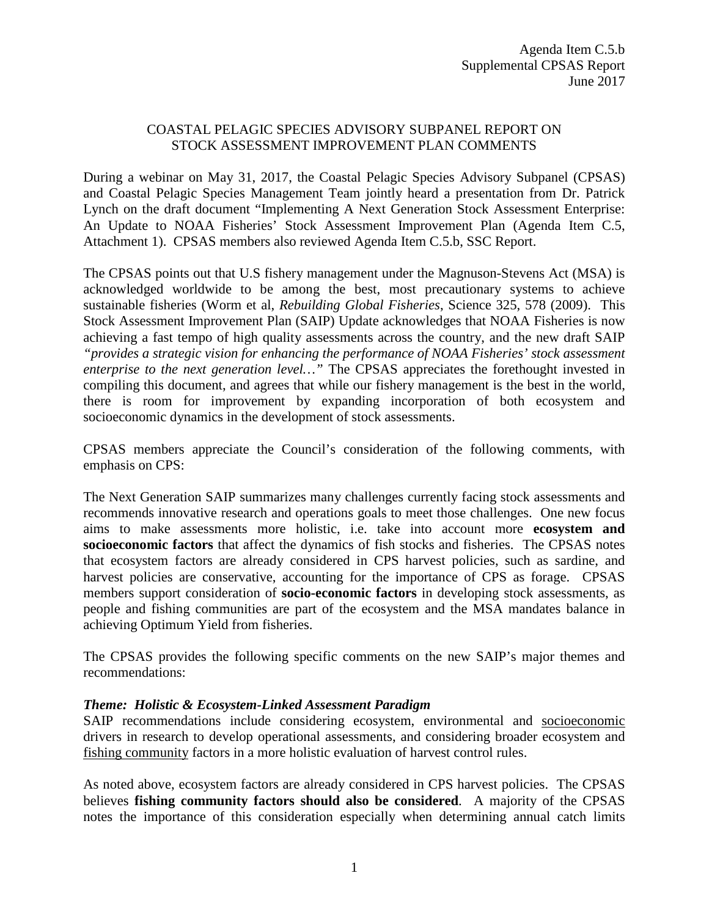## COASTAL PELAGIC SPECIES ADVISORY SUBPANEL REPORT ON STOCK ASSESSMENT IMPROVEMENT PLAN COMMENTS

During a webinar on May 31, 2017, the Coastal Pelagic Species Advisory Subpanel (CPSAS) and Coastal Pelagic Species Management Team jointly heard a presentation from Dr. Patrick Lynch on the draft document "Implementing A Next Generation Stock Assessment Enterprise: An Update to NOAA Fisheries' Stock Assessment Improvement Plan (Agenda Item C.5, Attachment 1). CPSAS members also reviewed Agenda Item C.5.b, SSC Report.

The CPSAS points out that U.S fishery management under the Magnuson-Stevens Act (MSA) is acknowledged worldwide to be among the best, most precautionary systems to achieve sustainable fisheries (Worm et al, *Rebuilding Global Fisheries*, Science 325, 578 (2009). This Stock Assessment Improvement Plan (SAIP) Update acknowledges that NOAA Fisheries is now achieving a fast tempo of high quality assessments across the country, and the new draft SAIP *"provides a strategic vision for enhancing the performance of NOAA Fisheries' stock assessment enterprise to the next generation level…"* The CPSAS appreciates the forethought invested in compiling this document, and agrees that while our fishery management is the best in the world, there is room for improvement by expanding incorporation of both ecosystem and socioeconomic dynamics in the development of stock assessments.

CPSAS members appreciate the Council's consideration of the following comments, with emphasis on CPS:

The Next Generation SAIP summarizes many challenges currently facing stock assessments and recommends innovative research and operations goals to meet those challenges. One new focus aims to make assessments more holistic, i.e. take into account more **ecosystem and socioeconomic factors** that affect the dynamics of fish stocks and fisheries. The CPSAS notes that ecosystem factors are already considered in CPS harvest policies, such as sardine, and harvest policies are conservative, accounting for the importance of CPS as forage. CPSAS members support consideration of **socio-economic factors** in developing stock assessments, as people and fishing communities are part of the ecosystem and the MSA mandates balance in achieving Optimum Yield from fisheries.

The CPSAS provides the following specific comments on the new SAIP's major themes and recommendations:

### *Theme: Holistic & Ecosystem-Linked Assessment Paradigm*

SAIP recommendations include considering ecosystem, environmental and socioeconomic drivers in research to develop operational assessments, and considering broader ecosystem and fishing community factors in a more holistic evaluation of harvest control rules.

As noted above, ecosystem factors are already considered in CPS harvest policies. The CPSAS believes **fishing community factors should also be considered**. A majority of the CPSAS notes the importance of this consideration especially when determining annual catch limits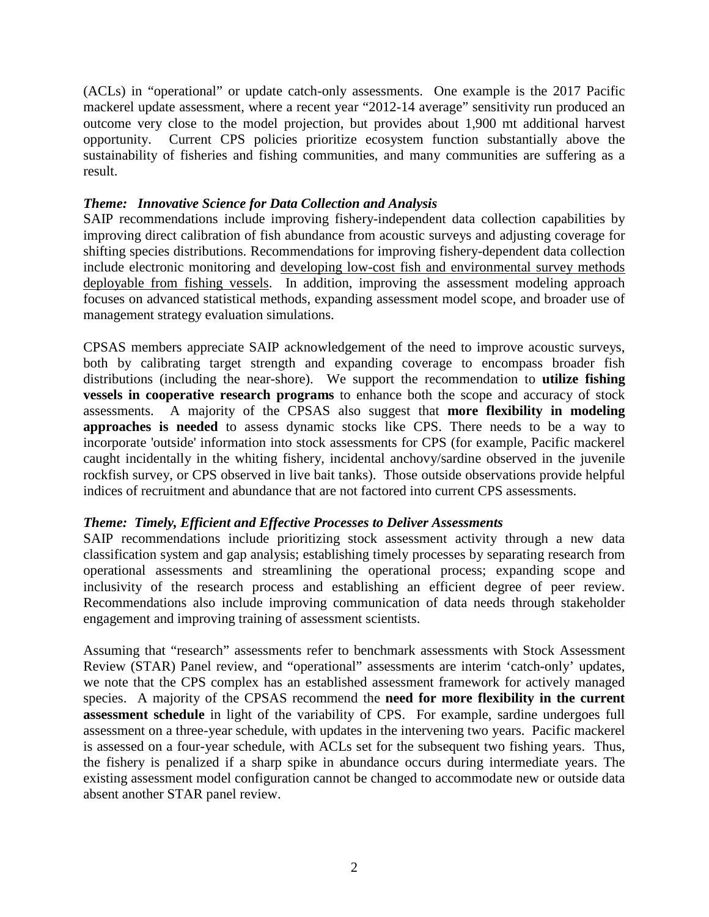(ACLs) in "operational" or update catch-only assessments. One example is the 2017 Pacific mackerel update assessment, where a recent year "2012-14 average" sensitivity run produced an outcome very close to the model projection, but provides about 1,900 mt additional harvest opportunity. Current CPS policies prioritize ecosystem function substantially above the sustainability of fisheries and fishing communities, and many communities are suffering as a result.

### *Theme: Innovative Science for Data Collection and Analysis*

SAIP recommendations include improving fishery-independent data collection capabilities by improving direct calibration of fish abundance from acoustic surveys and adjusting coverage for shifting species distributions. Recommendations for improving fishery-dependent data collection include electronic monitoring and developing low-cost fish and environmental survey methods deployable from fishing vessels. In addition, improving the assessment modeling approach focuses on advanced statistical methods, expanding assessment model scope, and broader use of management strategy evaluation simulations.

CPSAS members appreciate SAIP acknowledgement of the need to improve acoustic surveys, both by calibrating target strength and expanding coverage to encompass broader fish distributions (including the near-shore). We support the recommendation to **utilize fishing vessels in cooperative research programs** to enhance both the scope and accuracy of stock assessments. A majority of the CPSAS also suggest that **more flexibility in modeling approaches is needed** to assess dynamic stocks like CPS. There needs to be a way to incorporate 'outside' information into stock assessments for CPS (for example, Pacific mackerel caught incidentally in the whiting fishery, incidental anchovy/sardine observed in the juvenile rockfish survey, or CPS observed in live bait tanks). Those outside observations provide helpful indices of recruitment and abundance that are not factored into current CPS assessments.

### *Theme: Timely, Efficient and Effective Processes to Deliver Assessments*

SAIP recommendations include prioritizing stock assessment activity through a new data classification system and gap analysis; establishing timely processes by separating research from operational assessments and streamlining the operational process; expanding scope and inclusivity of the research process and establishing an efficient degree of peer review. Recommendations also include improving communication of data needs through stakeholder engagement and improving training of assessment scientists.

Assuming that "research" assessments refer to benchmark assessments with Stock Assessment Review (STAR) Panel review, and "operational" assessments are interim 'catch-only' updates, we note that the CPS complex has an established assessment framework for actively managed species. A majority of the CPSAS recommend the **need for more flexibility in the current assessment schedule** in light of the variability of CPS. For example, sardine undergoes full assessment on a three-year schedule, with updates in the intervening two years. Pacific mackerel is assessed on a four-year schedule, with ACLs set for the subsequent two fishing years. Thus, the fishery is penalized if a sharp spike in abundance occurs during intermediate years. The existing assessment model configuration cannot be changed to accommodate new or outside data absent another STAR panel review.